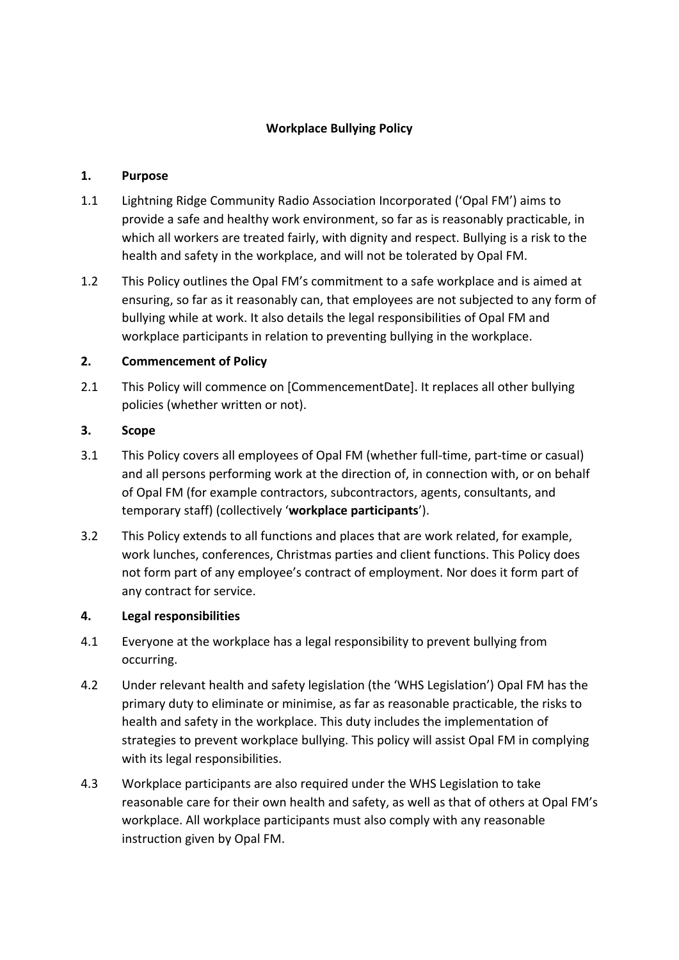# **Workplace Bullying Policy**

### **1. Purpose**

- 1.1 Lightning Ridge Community Radio Association Incorporated ('Opal FM') aims to provide a safe and healthy work environment, so far as is reasonably practicable, in which all workers are treated fairly, with dignity and respect. Bullying is a risk to the health and safety in the workplace, and will not be tolerated by Opal FM.
- 1.2 This Policy outlines the Opal FM's commitment to a safe workplace and is aimed at ensuring, so far as it reasonably can, that employees are not subjected to any form of bullying while at work. It also details the legal responsibilities of Opal FM and workplace participants in relation to preventing bullying in the workplace.

### **2. Commencement of Policy**

2.1 This Policy will commence on [CommencementDate]. It replaces all other bullying policies (whether written or not).

# **3. Scope**

- 3.1 This Policy covers all employees of Opal FM (whether full-time, part-time or casual) and all persons performing work at the direction of, in connection with, or on behalf of Opal FM (for example contractors, subcontractors, agents, consultants, and temporary staff) (collectively '**workplace participants**').
- 3.2 This Policy extends to all functions and places that are work related, for example, work lunches, conferences, Christmas parties and client functions. This Policy does not form part of any employee's contract of employment. Nor does it form part of any contract for service.

# **4. Legal responsibilities**

- 4.1 Everyone at the workplace has a legal responsibility to prevent bullying from occurring.
- 4.2 Under relevant health and safety legislation (the 'WHS Legislation') Opal FM has the primary duty to eliminate or minimise, as far as reasonable practicable, the risks to health and safety in the workplace. This duty includes the implementation of strategies to prevent workplace bullying. This policy will assist Opal FM in complying with its legal responsibilities.
- 4.3 Workplace participants are also required under the WHS Legislation to take reasonable care for their own health and safety, as well as that of others at Opal FM's workplace. All workplace participants must also comply with any reasonable instruction given by Opal FM.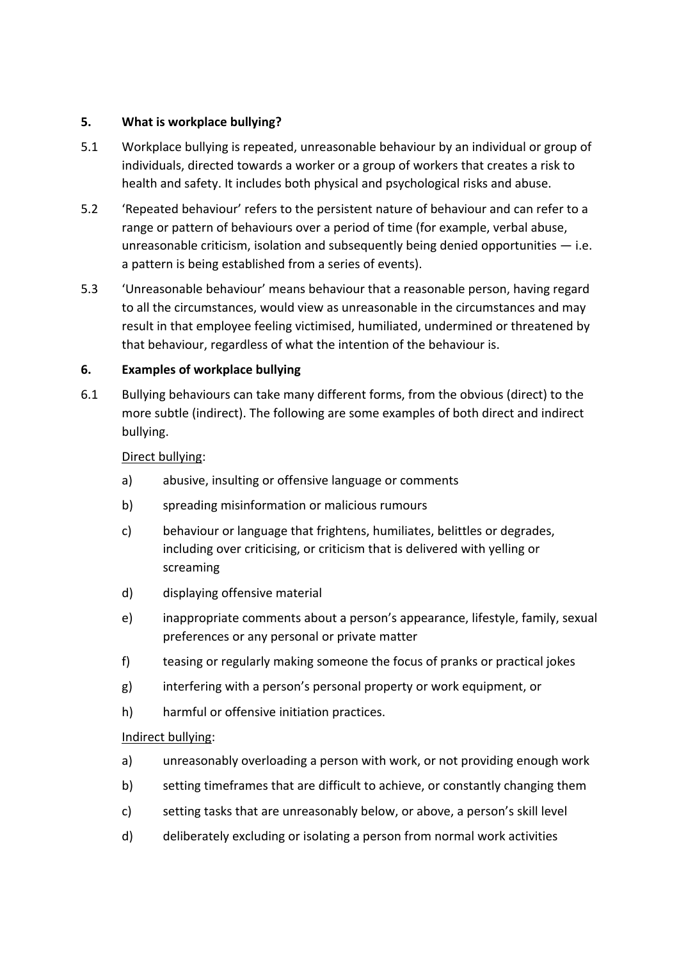### **5. What is workplace bullying?**

- 5.1 Workplace bullying is repeated, unreasonable behaviour by an individual or group of individuals, directed towards a worker or a group of workers that creates a risk to health and safety. It includes both physical and psychological risks and abuse.
- 5.2 'Repeated behaviour' refers to the persistent nature of behaviour and can refer to a range or pattern of behaviours over a period of time (for example, verbal abuse, unreasonable criticism, isolation and subsequently being denied opportunities  $-$  i.e. a pattern is being established from a series of events).
- 5.3 'Unreasonable behaviour' means behaviour that a reasonable person, having regard to all the circumstances, would view as unreasonable in the circumstances and may result in that employee feeling victimised, humiliated, undermined or threatened by that behaviour, regardless of what the intention of the behaviour is.

# **6. Examples of workplace bullying**

6.1 Bullying behaviours can take many different forms, from the obvious (direct) to the more subtle (indirect). The following are some examples of both direct and indirect bullying.

### Direct bullying:

- a) abusive, insulting or offensive language or comments
- b) spreading misinformation or malicious rumours
- c) behaviour or language that frightens, humiliates, belittles or degrades, including over criticising, or criticism that is delivered with yelling or screaming
- d) displaying offensive material
- e) inappropriate comments about a person's appearance, lifestyle, family, sexual preferences or any personal or private matter
- f) teasing or regularly making someone the focus of pranks or practical jokes
- g) interfering with a person's personal property or work equipment, or
- h) harmful or offensive initiation practices.

#### Indirect bullying:

- a) unreasonably overloading a person with work, or not providing enough work
- b) setting timeframes that are difficult to achieve, or constantly changing them
- c) setting tasks that are unreasonably below, or above, a person's skill level
- d) deliberately excluding or isolating a person from normal work activities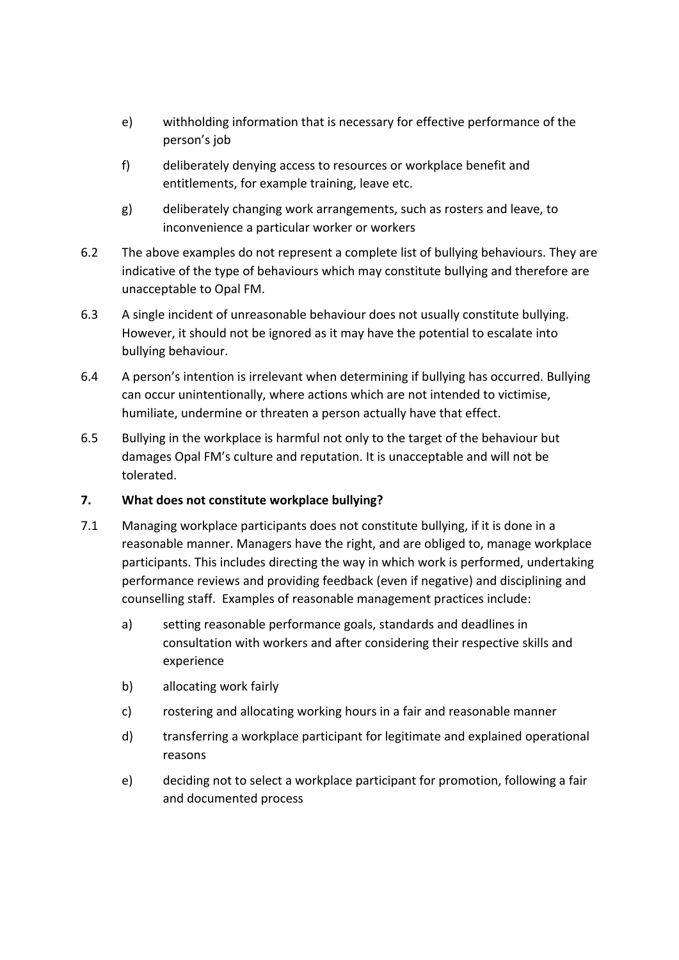- e) withholding information that is necessary for effective performance of the person's job
- f) deliberately denying access to resources or workplace benefit and entitlements, for example training, leave etc.
- g) deliberately changing work arrangements, such as rosters and leave, to inconvenience a particular worker or workers
- 6.2 The above examples do not represent a complete list of bullying behaviours. They are indicative of the type of behaviours which may constitute bullying and therefore are unacceptable to Opal FM.
- 6.3 A single incident of unreasonable behaviour does not usually constitute bullying. However, it should not be ignored as it may have the potential to escalate into bullying behaviour.
- 6.4 A person's intention is irrelevant when determining if bullying has occurred. Bullying can occur unintentionally, where actions which are not intended to victimise, humiliate, undermine or threaten a person actually have that effect.
- 6.5 Bullying in the workplace is harmful not only to the target of the behaviour but damages Opal FM's culture and reputation. It is unacceptable and will not be tolerated.

# **7. What does not constitute workplace bullying?**

- 7.1 Managing workplace participants does not constitute bullying, if it is done in a reasonable manner. Managers have the right, and are obliged to, manage workplace participants. This includes directing the way in which work is performed, undertaking performance reviews and providing feedback (even if negative) and disciplining and counselling staff. Examples of reasonable management practices include:
	- a) setting reasonable performance goals, standards and deadlines in consultation with workers and after considering their respective skills and experience
	- b) allocating work fairly
	- c) rostering and allocating working hours in a fair and reasonable manner
	- d) transferring a workplace participant for legitimate and explained operational reasons
	- e) deciding not to select a workplace participant for promotion, following a fair and documented process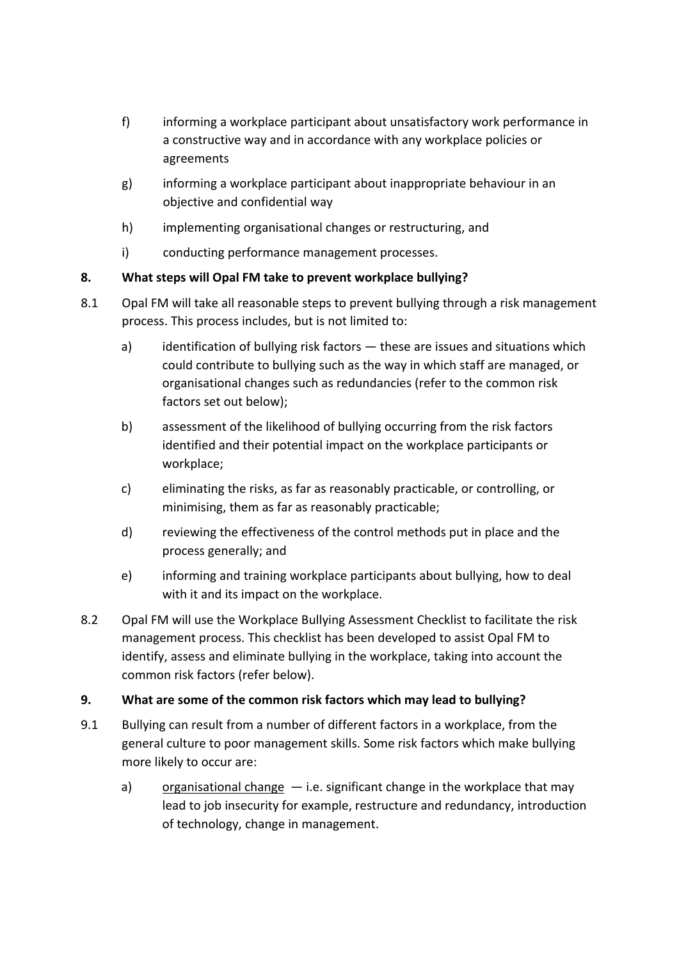- f) informing a workplace participant about unsatisfactory work performance in a constructive way and in accordance with any workplace policies or agreements
- g) informing a workplace participant about inappropriate behaviour in an objective and confidential way
- h) implementing organisational changes or restructuring, and
- i) conducting performance management processes.

# **8. What steps will Opal FM take to prevent workplace bullying?**

- 8.1 Opal FM will take all reasonable steps to prevent bullying through a risk management process. This process includes, but is not limited to:
	- a) identification of bullying risk factors these are issues and situations which could contribute to bullying such as the way in which staff are managed, or organisational changes such as redundancies (refer to the common risk factors set out below);
	- b) assessment of the likelihood of bullying occurring from the risk factors identified and their potential impact on the workplace participants or workplace;
	- c) eliminating the risks, as far as reasonably practicable, or controlling, or minimising, them as far as reasonably practicable;
	- d) reviewing the effectiveness of the control methods put in place and the process generally; and
	- e) informing and training workplace participants about bullying, how to deal with it and its impact on the workplace.
- 8.2 Opal FM will use the Workplace Bullying Assessment Checklist to facilitate the risk management process. This checklist has been developed to assist Opal FM to identify, assess and eliminate bullying in the workplace, taking into account the common risk factors (refer below).

# **9. What are some of the common risk factors which may lead to bullying?**

- 9.1 Bullying can result from a number of different factors in a workplace, from the general culture to poor management skills. Some risk factors which make bullying more likely to occur are:
	- a) organisational change  $-$  i.e. significant change in the workplace that may lead to job insecurity for example, restructure and redundancy, introduction of technology, change in management.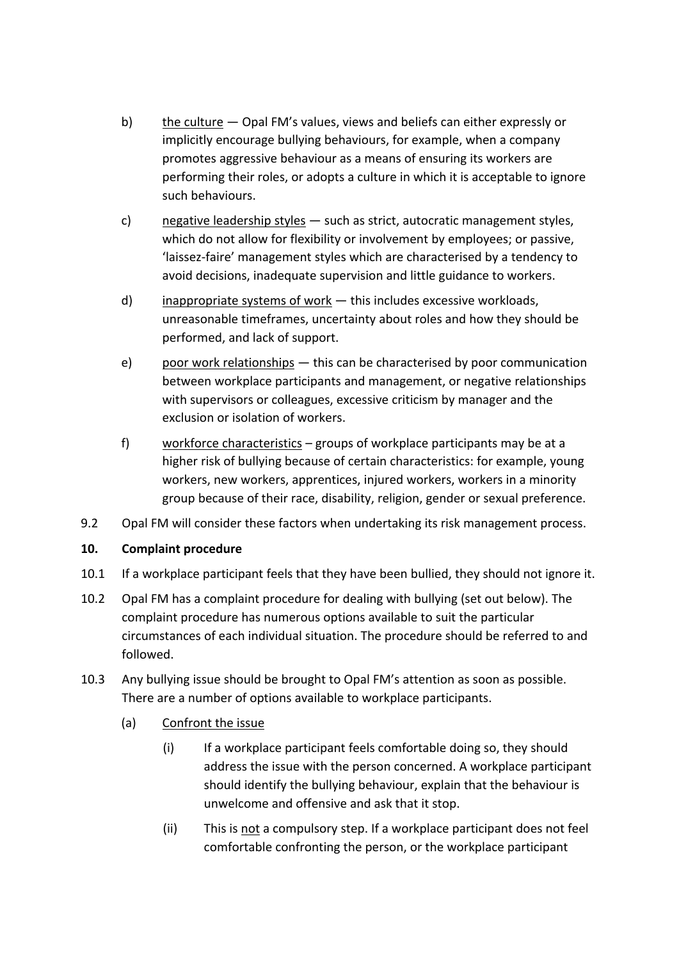- b) the culture Opal FM's values, views and beliefs can either expressly or implicitly encourage bullying behaviours, for example, when a company promotes aggressive behaviour as a means of ensuring its workers are performing their roles, or adopts a culture in which it is acceptable to ignore such behaviours.
- c) negative leadership styles such as strict, autocratic management styles, which do not allow for flexibility or involvement by employees; or passive, 'laissez-faire' management styles which are characterised by a tendency to avoid decisions, inadequate supervision and little guidance to workers.
- d) inappropriate systems of work this includes excessive workloads, unreasonable timeframes, uncertainty about roles and how they should be performed, and lack of support.
- e) poor work relationships this can be characterised by poor communication between workplace participants and management, or negative relationships with supervisors or colleagues, excessive criticism by manager and the exclusion or isolation of workers.
- f) workforce characteristics groups of workplace participants may be at a higher risk of bullying because of certain characteristics: for example, young workers, new workers, apprentices, injured workers, workers in a minority group because of their race, disability, religion, gender or sexual preference.
- 9.2 Opal FM will consider these factors when undertaking its risk management process.

# **10. Complaint procedure**

- 10.1 If a workplace participant feels that they have been bullied, they should not ignore it.
- 10.2 Opal FM has a complaint procedure for dealing with bullying (set out below). The complaint procedure has numerous options available to suit the particular circumstances of each individual situation. The procedure should be referred to and followed.
- 10.3 Any bullying issue should be brought to Opal FM's attention as soon as possible. There are a number of options available to workplace participants.
	- (a) Confront the issue
		- (i) If a workplace participant feels comfortable doing so, they should address the issue with the person concerned. A workplace participant should identify the bullying behaviour, explain that the behaviour is unwelcome and offensive and ask that it stop.
		- (ii) This is not a compulsory step. If a workplace participant does not feel comfortable confronting the person, or the workplace participant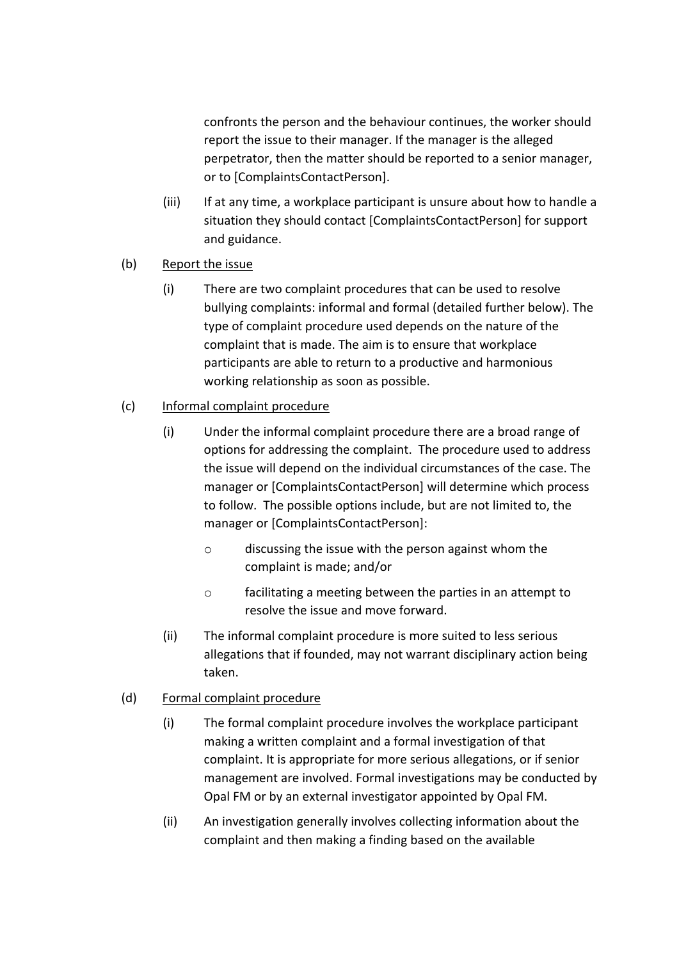confronts the person and the behaviour continues, the worker should report the issue to their manager. If the manager is the alleged perpetrator, then the matter should be reported to a senior manager, or to [ComplaintsContactPerson].

- (iii) If at any time, a workplace participant is unsure about how to handle a situation they should contact [ComplaintsContactPerson] for support and guidance.
- (b) Report the issue
	- (i) There are two complaint procedures that can be used to resolve bullying complaints: informal and formal (detailed further below). The type of complaint procedure used depends on the nature of the complaint that is made. The aim is to ensure that workplace participants are able to return to a productive and harmonious working relationship as soon as possible.

# (c) Informal complaint procedure

- (i) Under the informal complaint procedure there are a broad range of options for addressing the complaint. The procedure used to address the issue will depend on the individual circumstances of the case. The manager or [ComplaintsContactPerson] will determine which process to follow. The possible options include, but are not limited to, the manager or [ComplaintsContactPerson]:
	- o discussing the issue with the person against whom the complaint is made; and/or
	- o facilitating a meeting between the parties in an attempt to resolve the issue and move forward.
- (ii) The informal complaint procedure is more suited to less serious allegations that if founded, may not warrant disciplinary action being taken.

# (d) Formal complaint procedure

- (i) The formal complaint procedure involves the workplace participant making a written complaint and a formal investigation of that complaint. It is appropriate for more serious allegations, or if senior management are involved. Formal investigations may be conducted by Opal FM or by an external investigator appointed by Opal FM.
- (ii) An investigation generally involves collecting information about the complaint and then making a finding based on the available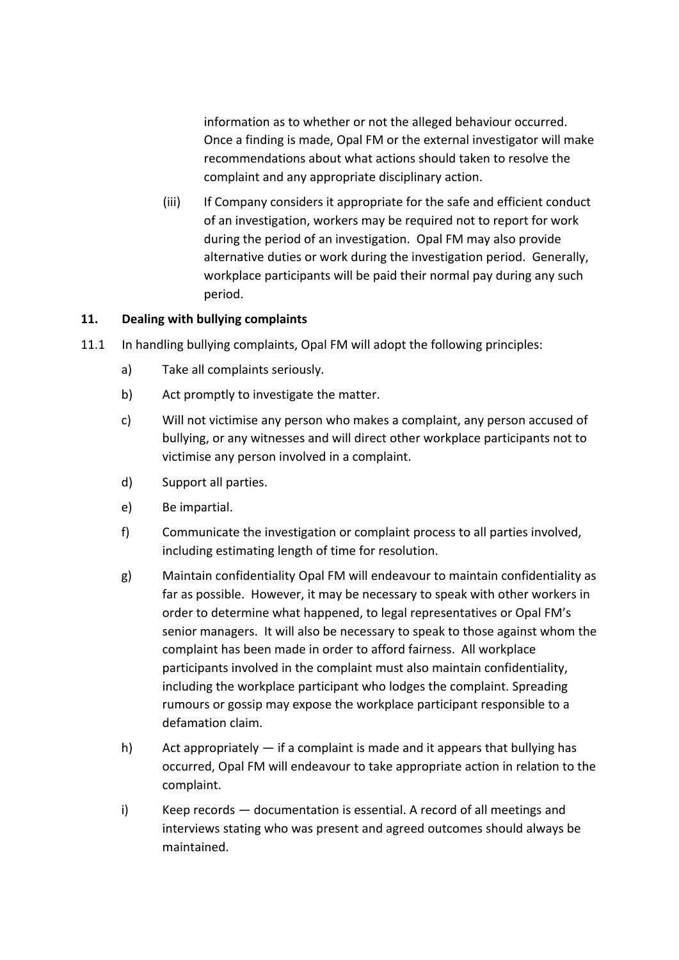information as to whether or not the alleged behaviour occurred. Once a finding is made, Opal FM or the external investigator will make recommendations about what actions should taken to resolve the complaint and any appropriate disciplinary action.

(iii) If Company considers it appropriate for the safe and efficient conduct of an investigation, workers may be required not to report for work during the period of an investigation. Opal FM may also provide alternative duties or work during the investigation period. Generally, workplace participants will be paid their normal pay during any such period.

# **11. Dealing with bullying complaints**

- 11.1 In handling bullying complaints, Opal FM will adopt the following principles:
	- a) Take all complaints seriously.
	- b) Act promptly to investigate the matter.
	- c) Will not victimise any person who makes a complaint, any person accused of bullying, or any witnesses and will direct other workplace participants not to victimise any person involved in a complaint.
	- d) Support all parties.
	- e) Be impartial.
	- f) Communicate the investigation or complaint process to all parties involved, including estimating length of time for resolution.
	- g) Maintain confidentiality Opal FM will endeavour to maintain confidentiality as far as possible. However, it may be necessary to speak with other workers in order to determine what happened, to legal representatives or Opal FM's senior managers. It will also be necessary to speak to those against whom the complaint has been made in order to afford fairness. All workplace participants involved in the complaint must also maintain confidentiality, including the workplace participant who lodges the complaint. Spreading rumours or gossip may expose the workplace participant responsible to a defamation claim.
	- h) Act appropriately  $-$  if a complaint is made and it appears that bullying has occurred, Opal FM will endeavour to take appropriate action in relation to the complaint.
	- i) Keep records documentation is essential. A record of all meetings and interviews stating who was present and agreed outcomes should always be maintained.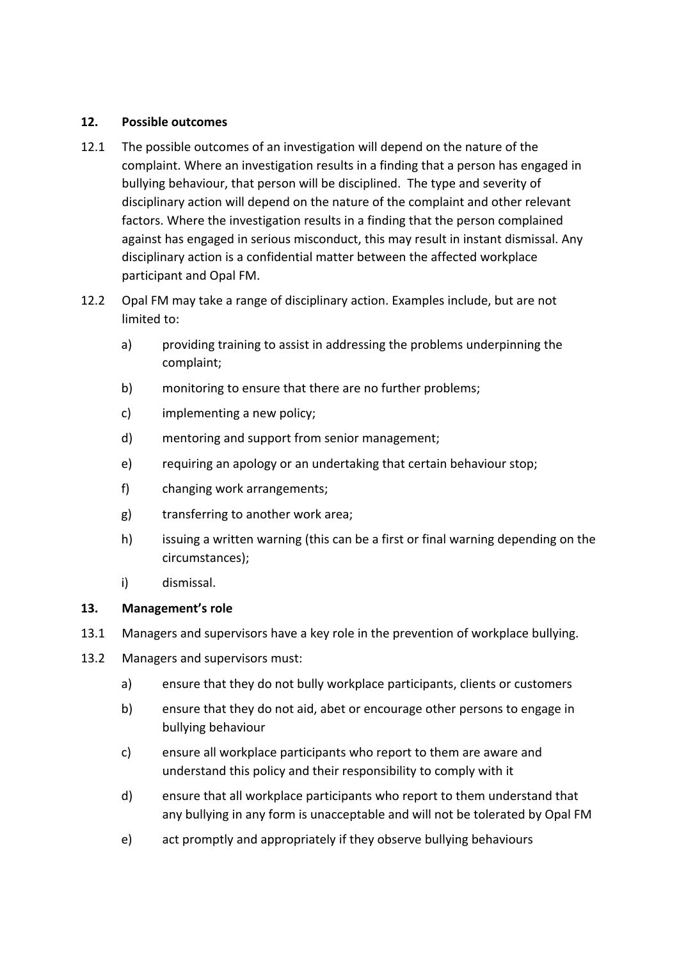### **12. Possible outcomes**

- 12.1 The possible outcomes of an investigation will depend on the nature of the complaint. Where an investigation results in a finding that a person has engaged in bullying behaviour, that person will be disciplined. The type and severity of disciplinary action will depend on the nature of the complaint and other relevant factors. Where the investigation results in a finding that the person complained against has engaged in serious misconduct, this may result in instant dismissal. Any disciplinary action is a confidential matter between the affected workplace participant and Opal FM.
- 12.2 Opal FM may take a range of disciplinary action. Examples include, but are not limited to:
	- a) providing training to assist in addressing the problems underpinning the complaint;
	- b) monitoring to ensure that there are no further problems;
	- c) implementing a new policy;
	- d) mentoring and support from senior management;
	- e) requiring an apology or an undertaking that certain behaviour stop;
	- f) changing work arrangements;
	- g) transferring to another work area;
	- h) issuing a written warning (this can be a first or final warning depending on the circumstances);
	- i) dismissal.

# **13. Management's role**

- 13.1 Managers and supervisors have a key role in the prevention of workplace bullying.
- 13.2 Managers and supervisors must:
	- a) ensure that they do not bully workplace participants, clients or customers
	- b) ensure that they do not aid, abet or encourage other persons to engage in bullying behaviour
	- c) ensure all workplace participants who report to them are aware and understand this policy and their responsibility to comply with it
	- d) ensure that all workplace participants who report to them understand that any bullying in any form is unacceptable and will not be tolerated by Opal FM
	- e) act promptly and appropriately if they observe bullying behaviours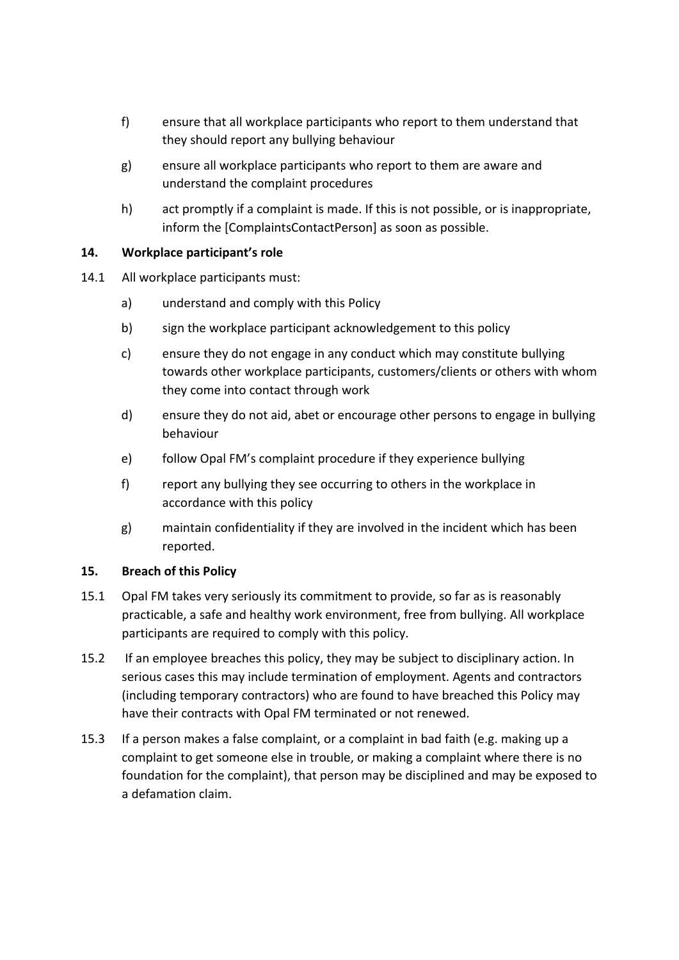- f) ensure that all workplace participants who report to them understand that they should report any bullying behaviour
- g) ensure all workplace participants who report to them are aware and understand the complaint procedures
- h) act promptly if a complaint is made. If this is not possible, or is inappropriate, inform the [ComplaintsContactPerson] as soon as possible.

# **14. Workplace participant's role**

- 14.1 All workplace participants must:
	- a) understand and comply with this Policy
	- b) sign the workplace participant acknowledgement to this policy
	- c) ensure they do not engage in any conduct which may constitute bullying towards other workplace participants, customers/clients or others with whom they come into contact through work
	- d) ensure they do not aid, abet or encourage other persons to engage in bullying behaviour
	- e) follow Opal FM's complaint procedure if they experience bullying
	- f) report any bullying they see occurring to others in the workplace in accordance with this policy
	- g) maintain confidentiality if they are involved in the incident which has been reported.

# **15. Breach of this Policy**

- 15.1 Opal FM takes very seriously its commitment to provide, so far as is reasonably practicable, a safe and healthy work environment, free from bullying. All workplace participants are required to comply with this policy.
- 15.2 If an employee breaches this policy, they may be subject to disciplinary action. In serious cases this may include termination of employment. Agents and contractors (including temporary contractors) who are found to have breached this Policy may have their contracts with Opal FM terminated or not renewed.
- 15.3 If a person makes a false complaint, or a complaint in bad faith (e.g. making up a complaint to get someone else in trouble, or making a complaint where there is no foundation for the complaint), that person may be disciplined and may be exposed to a defamation claim.